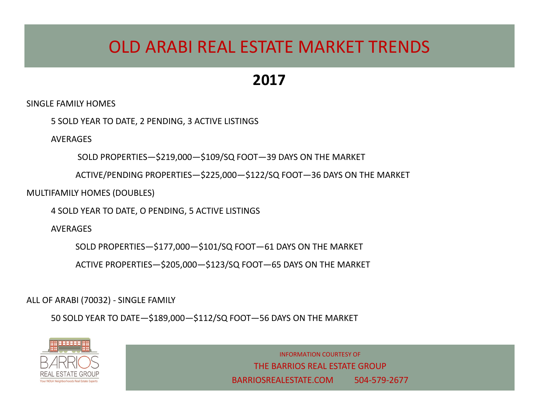## OLD ARABI REAL ESTATE MARKET TRENDS

#### **2017**

SINGLE FAMILY HOMES

5 SOLD YEAR TO DATE, 2 PENDING, 3 ACTIVE LISTINGS

**AVERAGES** 

SOLD PROPERTIES—\$219,000—\$109/SQ FOOT—39 DAYS ON THE MARKET

ACTIVE/PENDING PROPERTIES—\$225,000—\$122/SQ FOOT—36 DAYS ON THE MARKET

MULTIFAMILY HOMES (DOUBLES)

4 SOLD YEAR TO DATE, O PENDING, 5 ACTIVE LISTINGS

AVERAGES

SOLD PROPERTIES—\$177,000—\$101/SQ FOOT—61 DAYS ON THE MARKET

ACTIVE PROPERTIES—\$205,000—\$123/SQ FOOT—65 DAYS ON THE MARKET

ALL OF ARABI (70032) - SINGLE FAMILY

50 SOLD YEAR TO DATE—\$189,000—\$112/SQ FOOT—56 DAYS ON THE MARKET



INFORMATION COURTESY OF THE BARRIOS REAL ESTATE GROUP BARRIOSREALESTATE.COM 504-579-2677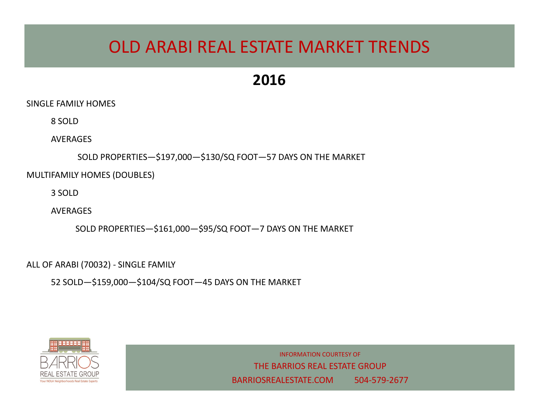# OLD ARABI REAL ESTATE MARKET TRENDS

### **2016**

SINGLE FAMILY HOMES

8 SOLD

**AVERAGES** 

SOLD PROPERTIES—\$197,000—\$130/SQ FOOT—57 DAYS ON THE MARKET

MULTIFAMILY HOMES (DOUBLES)

3 SOLD

AVERAGES

SOLD PROPERTIES—\$161,000—\$95/SQ FOOT—7 DAYS ON THE MARKET

ALL OF ARABI (70032) - SINGLE FAMILY

52 SOLD—\$159,000—\$104/SQ FOOT—45 DAYS ON THE MARKET



INFORMATION COURTESY OF THE BARRIOS REAL ESTATE GROUP BARRIOSREALESTATE.COM 504-579-2677